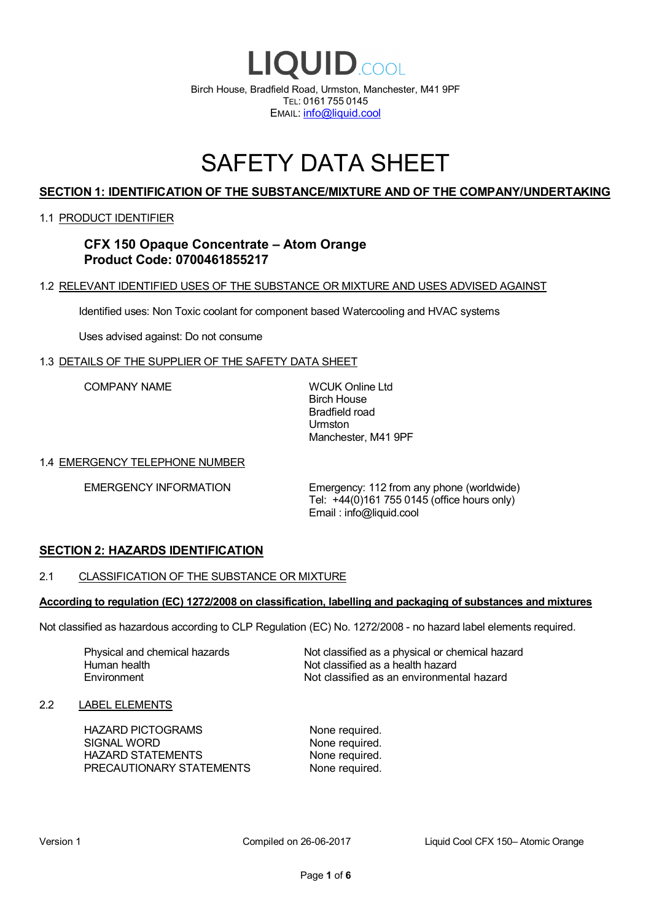

# SAFETY DATA SHEET

# **SECTION 1: IDENTIFICATION OF THE SUBSTANCE/MIXTURE AND OF THE COMPANY/UNDERTAKING**

### 1.1 PRODUCT IDENTIFIER

# **CFX 150 Opaque Concentrate – Atom Orange Product Code: 0700461855217**

### 1.2 RELEVANT IDENTIFIED USES OF THE SUBSTANCE OR MIXTURE AND USES ADVISED AGAINST

Identified uses: Non Toxic coolant for component based Watercooling and HVAC systems

Uses advised against: Do not consume

### 1.3 DETAILS OF THE SUPPLIER OF THE SAFETY DATA SHEET

COMPANY NAME WCUK Online Ltd

Birch House Bradfield road Urmston Manchester, M41 9PF

### 1.4 EMERGENCY TELEPHONE NUMBER

EMERGENCY INFORMATION Emergency: 112 from any phone (worldwide) Tel: +44(0)161 755 0145 (office hours only) Email : info@liquid.cool

# **SECTION 2: HAZARDS IDENTIFICATION**

### 2.1 CLASSIFICATION OF THE SUBSTANCE OR MIXTURE

### **According to regulation (EC) 1272/2008 on classification, labelling and packaging of substances and mixtures**

Not classified as hazardous according to CLP Regulation (EC) No. 1272/2008 - no hazard label elements required.

Human health **Environment** 

Physical and chemical hazards Not classified as a physical or chemical hazard Not classified as a health hazard Not classified as an environmental hazard

### 2.2 LABEL ELEMENTS

HAZARD PICTOGRAMS None required. SIGNAL WORD None required. HAZARD STATEMENTS None required. PRECAUTIONARY STATEMENTS None required.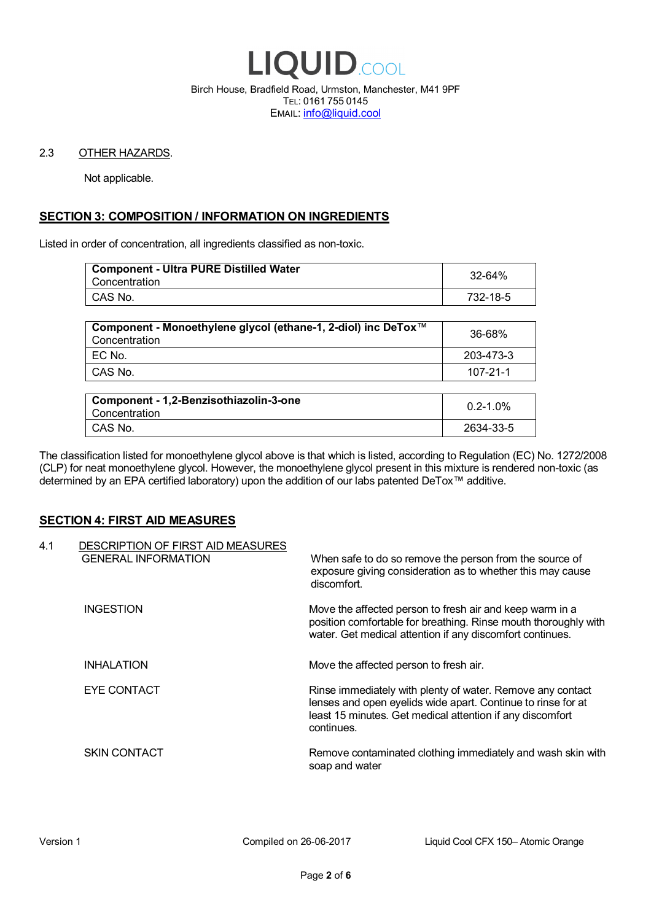

Birch House, Bradfield Road, Urmston, Manchester, M41 9PF TEL: 0161 755 0145 EMAIL: info@liquid.cool

### 2.3 OTHER HAZARDS.

Not applicable.

# **SECTION 3: COMPOSITION / INFORMATION ON INGREDIENTS**

Listed in order of concentration, all ingredients classified as non-toxic.

| <b>Component - Ultra PURE Distilled Water</b><br>Concentration | 32-64%   |
|----------------------------------------------------------------|----------|
| CAS No.                                                        | 732-18-5 |
|                                                                |          |

| Component - Monoethylene glycol (ethane-1, 2-diol) inc DeTox™<br>Concentration | 36-68%    |
|--------------------------------------------------------------------------------|-----------|
| ' EC No.                                                                       | 203-473-3 |
| ∣ CAS No.                                                                      | 107-21-1  |

| Component - 1,2-Benzisothiazolin-3-one<br>Concentration | $0.2 - 1.0\%$ |
|---------------------------------------------------------|---------------|
| CAS No.                                                 | 2634-33-5     |

The classification listed for monoethylene glycol above is that which is listed, according to Regulation (EC) No. 1272/2008 (CLP) for neat monoethylene glycol. However, the monoethylene glycol present in this mixture is rendered non-toxic (as determined by an EPA certified laboratory) upon the addition of our labs patented DeTox™ additive.

### **SECTION 4: FIRST AID MEASURES**

| 4.1 | DESCRIPTION OF FIRST AID MEASURES<br><b>GENERAL INFORMATION</b> | When safe to do so remove the person from the source of<br>exposure giving consideration as to whether this may cause<br>discomfort.                                                                  |
|-----|-----------------------------------------------------------------|-------------------------------------------------------------------------------------------------------------------------------------------------------------------------------------------------------|
|     | <b>INGESTION</b>                                                | Move the affected person to fresh air and keep warm in a<br>position comfortable for breathing. Rinse mouth thoroughly with<br>water. Get medical attention if any discomfort continues.              |
|     | <b>INHALATION</b>                                               | Move the affected person to fresh air.                                                                                                                                                                |
|     | EYE CONTACT                                                     | Rinse immediately with plenty of water. Remove any contact<br>lenses and open eyelids wide apart. Continue to rinse for at<br>least 15 minutes. Get medical attention if any discomfort<br>continues. |
|     | <b>SKIN CONTACT</b>                                             | Remove contaminated clothing immediately and wash skin with<br>soap and water                                                                                                                         |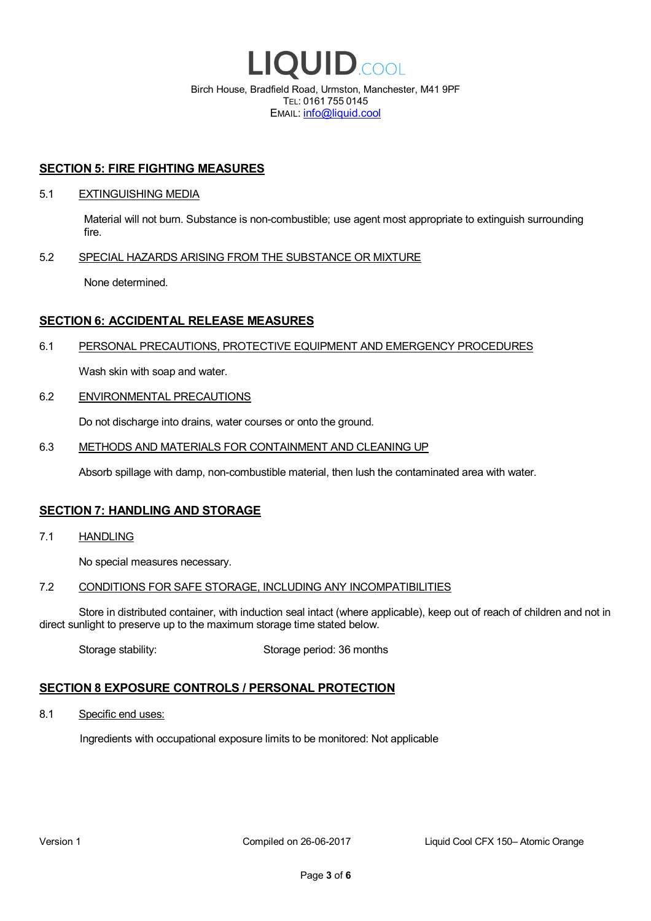

EMAIL: info@liquid.cool

### **SECTION 5: FIRE FIGHTING MEASURES**

### 5.1 EXTINGUISHING MEDIA

Material will not burn. Substance is non-combustible; use agent most appropriate to extinguish surrounding fire.

### 5.2 SPECIAL HAZARDS ARISING FROM THE SUBSTANCE OR MIXTURE

None determined.

## **SECTION 6: ACCIDENTAL RELEASE MEASURES**

### 6.1 PERSONAL PRECAUTIONS, PROTECTIVE EQUIPMENT AND EMERGENCY PROCEDURES

Wash skin with soap and water.

### 6.2 ENVIRONMENTAL PRECAUTIONS

Do not discharge into drains, water courses or onto the ground.

### 6.3 METHODS AND MATERIALS FOR CONTAINMENT AND CLEANING UP

Absorb spillage with damp, non-combustible material, then lush the contaminated area with water.

### **SECTION 7: HANDLING AND STORAGE**

7.1 HANDLING

No special measures necessary.

### 7.2 CONDITIONS FOR SAFE STORAGE, INCLUDING ANY INCOMPATIBILITIES

Store in distributed container, with induction seal intact (where applicable), keep out of reach of children and not in direct sunlight to preserve up to the maximum storage time stated below.

Storage stability: Storage period: 36 months

# **SECTION 8 EXPOSURE CONTROLS / PERSONAL PROTECTION**

8.1 Specific end uses:

Ingredients with occupational exposure limits to be monitored: Not applicable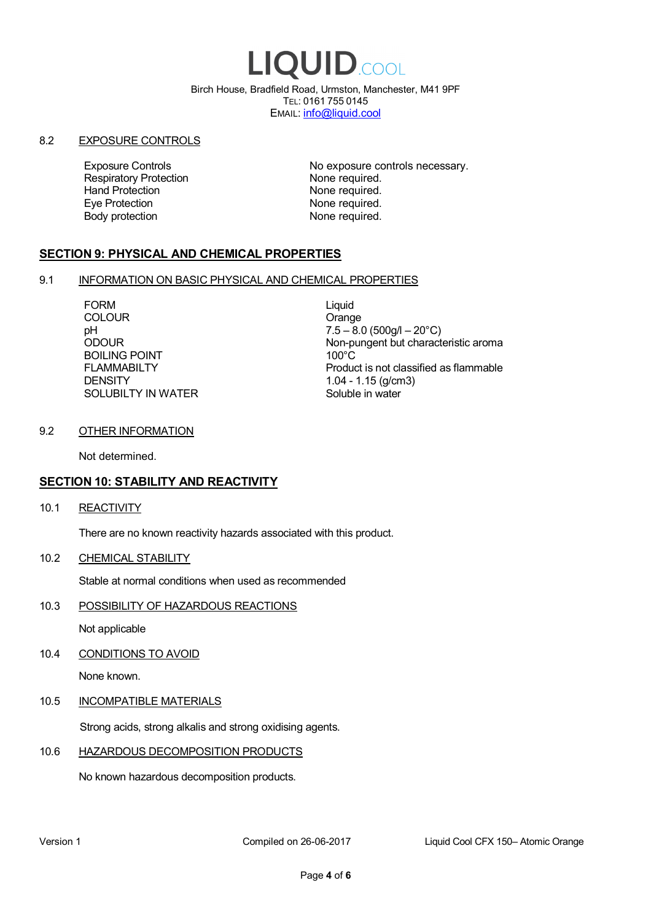# LIQUID.COOL

Birch House, Bradfield Road, Urmston, Manchester, M41 9PF TEL: 0161 755 0145 EMAIL: info@liquid.cool

### 8.2 EXPOSURE CONTROLS

Respiratory Protection **None required.**<br>
Hand Protection **None required.** Eye Protection **None required.** Body protection None required.

Exposure Controls **Exposure Controls** No exposure controls necessary. None required.

# **SECTION 9: PHYSICAL AND CHEMICAL PROPERTIES**

### 9.1 INFORMATION ON BASIC PHYSICAL AND CHEMICAL PROPERTIES

FORM Liquid COLOUR COLOUR COLOUR BOILING POINT FLAMMABILTY **DENSITY** SOLUBILTY IN WATER

pH<br>
DDOUR
20°C)
2000UR
2000UR
2000UR
2000UR Non-pungent but characteristic aroma 100°C Product is not classified as flammable 1.04 - 1.15 (g/cm3) Soluble in water

## 9.2 OTHER INFORMATION

Not determined.

# **SECTION 10: STABILITY AND REACTIVITY**

10.1 REACTIVITY

There are no known reactivity hazards associated with this product.

10.2 CHEMICAL STABILITY

Stable at normal conditions when used as recommended

10.3 POSSIBILITY OF HAZARDOUS REACTIONS

Not applicable

10.4 CONDITIONS TO AVOID

None known.

### 10.5 INCOMPATIBLE MATERIALS

Strong acids, strong alkalis and strong oxidising agents.

### 10.6 HAZARDOUS DECOMPOSITION PRODUCTS

No known hazardous decomposition products.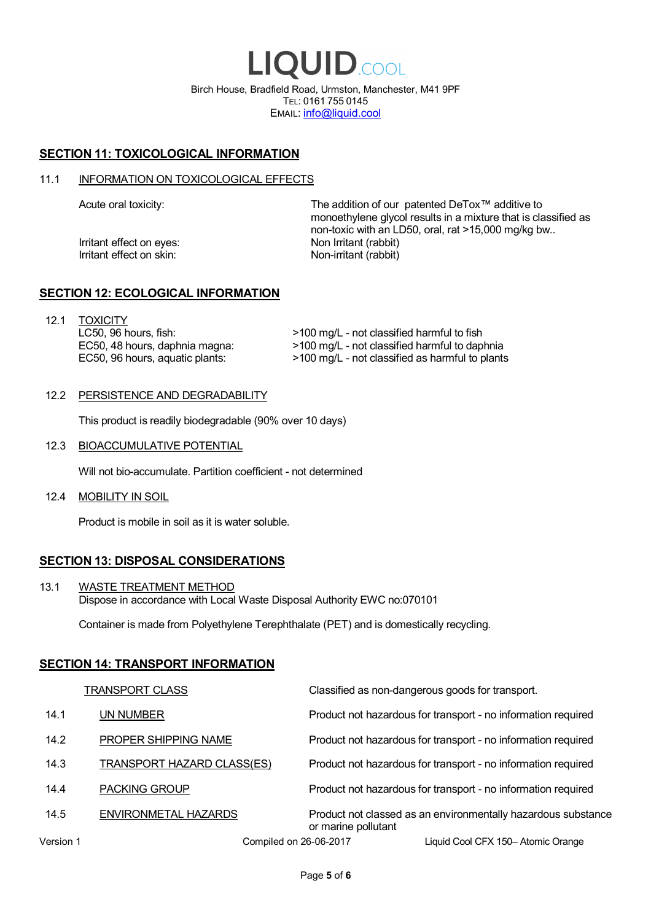LIQUID.COOL Birch House, Bradfield Road, Urmston, Manchester, M41 9PF TEL: 0161 755 0145 EMAIL: info@liquid.cool

# **SECTION 11: TOXICOLOGICAL INFORMATION**

### 11.1 INFORMATION ON TOXICOLOGICAL EFFECTS

Irritant effect on eves: Non Irritant (rabbit) Irritant effect on skin: Non-irritant (rabbit)

Acute oral toxicity: The addition of our patented DeTox™ additive to monoethylene glycol results in a mixture that is classified as non-toxic with an LD50, oral, rat >15,000 mg/kg bw..

### **SECTION 12: ECOLOGICAL INFORMATION**

12.1 TOXICITY LC50, 96 hours, fish: EC50, 48 hours, daphnia magna: EC50, 96 hours, aquatic plants:

>100 mg/L - not classified harmful to fish >100 mg/L - not classified harmful to daphnia >100 mg/L - not classified as harmful to plants

### 12.2 PERSISTENCE AND DEGRADABILITY

This product is readily biodegradable (90% over 10 days)

12.3 BIOACCUMULATIVE POTENTIAL

Will not bio-accumulate. Partition coefficient - not determined

12.4 MOBILITY IN SOIL

Product is mobile in soil as it is water soluble.

# **SECTION 13: DISPOSAL CONSIDERATIONS**

13.1 WASTE TREATMENT METHOD Dispose in accordance with Local Waste Disposal Authority EWC no:070101

Container is made from Polyethylene Terephthalate (PET) and is domestically recycling.

### **SECTION 14: TRANSPORT INFORMATION**

|           | <b>TRANSPORT CLASS</b>            | Classified as non-dangerous goods for transport.                                     |
|-----------|-----------------------------------|--------------------------------------------------------------------------------------|
| 14.1      | UN NUMBER                         | Product not hazardous for transport - no information required                        |
| 14.2      | PROPER SHIPPING NAME              | Product not hazardous for transport - no information required                        |
| 14.3      | <b>TRANSPORT HAZARD CLASS(ES)</b> | Product not hazardous for transport - no information required                        |
| 14.4      | <b>PACKING GROUP</b>              | Product not hazardous for transport - no information required                        |
| 14.5      | ENVIRONMETAL HAZARDS              | Product not classed as an environmentally hazardous substance<br>or marine pollutant |
| Version 1 | Compiled on 26-06-2017            | Liquid Cool CFX 150- Atomic Orange                                                   |